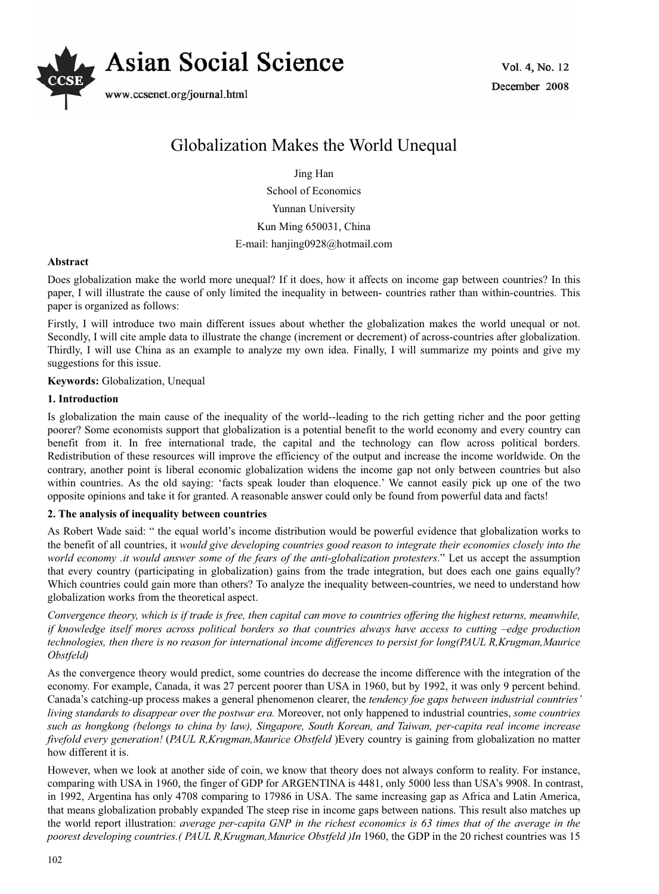

Vol. 4, No. 12 December 2008

# Globalization Makes the World Unequal

Jing Han

School of Economics Yunnan University Kun Ming 650031, China E-mail: hanjing0928@hotmail.com

### **Abstract**

Does globalization make the world more unequal? If it does, how it affects on income gap between countries? In this paper, I will illustrate the cause of only limited the inequality in between- countries rather than within-countries. This paper is organized as follows:

Firstly, I will introduce two main different issues about whether the globalization makes the world unequal or not. Secondly, I will cite ample data to illustrate the change (increment or decrement) of across-countries after globalization. Thirdly, I will use China as an example to analyze my own idea. Finally, I will summarize my points and give my suggestions for this issue.

**Keywords:** Globalization, Unequal

### **1. Introduction**

Is globalization the main cause of the inequality of the world--leading to the rich getting richer and the poor getting poorer? Some economists support that globalization is a potential benefit to the world economy and every country can benefit from it. In free international trade, the capital and the technology can flow across political borders. Redistribution of these resources will improve the efficiency of the output and increase the income worldwide. On the contrary, another point is liberal economic globalization widens the income gap not only between countries but also within countries. As the old saying: 'facts speak louder than eloquence.' We cannot easily pick up one of the two opposite opinions and take it for granted. A reasonable answer could only be found from powerful data and facts!

## **2. The analysis of inequality between countries**

As Robert Wade said: " the equal world's income distribution would be powerful evidence that globalization works to the benefit of all countries, it *would give developing countries good reason to integrate their economies closely into the world economy .it would answer some of the fears of the anti-globalization protesters*." Let us accept the assumption that every country (participating in globalization) gains from the trade integration, but does each one gains equally? Which countries could gain more than others? To analyze the inequality between-countries, we need to understand how globalization works from the theoretical aspect.

*Convergence theory, which is if trade is free, then capital can move to countries offering the highest returns, meanwhile, if knowledge itself mores across political borders so that countries always have access to cutting –edge production technologies, then there is no reason for international income differences to persist for long(PAUL R,Krugman,Maurice Obstfeld)*

As the convergence theory would predict, some countries do decrease the income difference with the integration of the economy. For example, Canada, it was 27 percent poorer than USA in 1960, but by 1992, it was only 9 percent behind. Canada's catching-up process makes a general phenomenon clearer, the *tendency foe gaps between industrial countries' living standards to disappear over the postwar era.* Moreover, not only happened to industrial countries, *some countries such as hongkong (belongs to china by law), Singapore, South Korean, and Taiwan, per-capita real income increase fivefold every generation!* (*PAUL R,Krugman,Maurice Obstfeld* )Every country is gaining from globalization no matter how different it is.

However, when we look at another side of coin, we know that theory does not always conform to reality. For instance, comparing with USA in 1960, the finger of GDP for ARGENTINA is 4481, only 5000 less than USA's 9908. In contrast, in 1992, Argentina has only 4708 comparing to 17986 in USA. The same increasing gap as Africa and Latin America, that means globalization probably expanded The steep rise in income gaps between nations. This result also matches up the world report illustration: *average per-capita GNP in the richest economics is 63 times that of the average in the poorest developing countries.( PAUL R,Krugman,Maurice Obstfeld )In* 1960, the GDP in the 20 richest countries was 15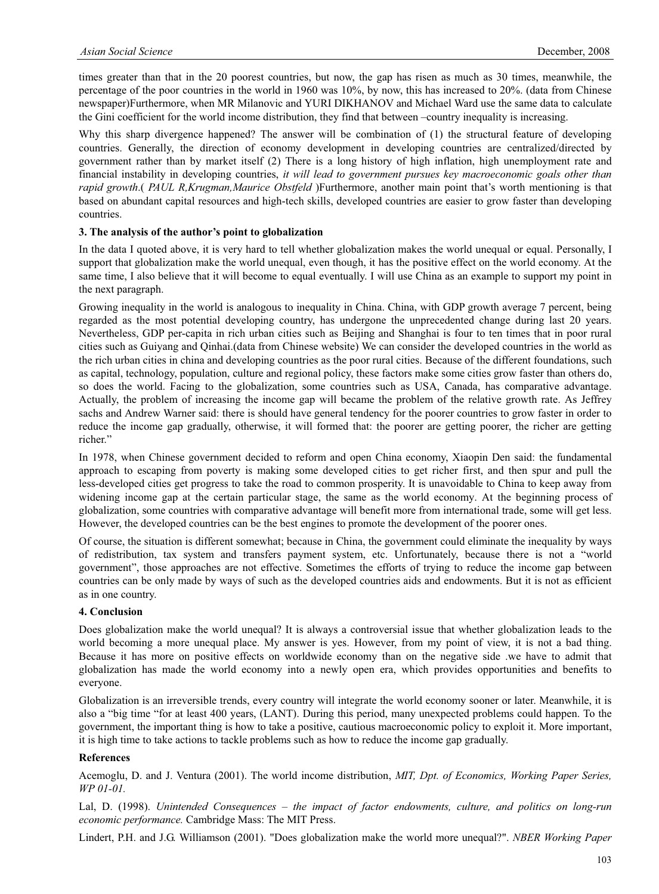times greater than that in the 20 poorest countries, but now, the gap has risen as much as 30 times, meanwhile, the percentage of the poor countries in the world in 1960 was 10%, by now, this has increased to 20%. (data from Chinese newspaper)Furthermore, when MR Milanovic and YURI DIKHANOV and Michael Ward use the same data to calculate the Gini coefficient for the world income distribution, they find that between –country inequality is increasing.

Why this sharp divergence happened? The answer will be combination of (1) the structural feature of developing countries. Generally, the direction of economy development in developing countries are centralized/directed by government rather than by market itself (2) There is a long history of high inflation, high unemployment rate and financial instability in developing countries, *it will lead to government pursues key macroeconomic goals other than rapid growth*.( *PAUL R,Krugman,Maurice Obstfeld* )Furthermore, another main point that's worth mentioning is that based on abundant capital resources and high-tech skills, developed countries are easier to grow faster than developing countries.

#### **3. The analysis of the author's point to globalization**

In the data I quoted above, it is very hard to tell whether globalization makes the world unequal or equal. Personally, I support that globalization make the world unequal, even though, it has the positive effect on the world economy. At the same time, I also believe that it will become to equal eventually. I will use China as an example to support my point in the next paragraph.

Growing inequality in the world is analogous to inequality in China. China, with GDP growth average 7 percent, being regarded as the most potential developing country, has undergone the unprecedented change during last 20 years. Nevertheless, GDP per-capita in rich urban cities such as Beijing and Shanghai is four to ten times that in poor rural cities such as Guiyang and Qinhai.(data from Chinese website) We can consider the developed countries in the world as the rich urban cities in china and developing countries as the poor rural cities. Because of the different foundations, such as capital, technology, population, culture and regional policy, these factors make some cities grow faster than others do, so does the world. Facing to the globalization, some countries such as USA, Canada, has comparative advantage. Actually, the problem of increasing the income gap will became the problem of the relative growth rate. As Jeffrey sachs and Andrew Warner said: there is should have general tendency for the poorer countries to grow faster in order to reduce the income gap gradually, otherwise, it will formed that: the poorer are getting poorer, the richer are getting richer."

In 1978, when Chinese government decided to reform and open China economy, Xiaopin Den said: the fundamental approach to escaping from poverty is making some developed cities to get richer first, and then spur and pull the less-developed cities get progress to take the road to common prosperity. It is unavoidable to China to keep away from widening income gap at the certain particular stage, the same as the world economy. At the beginning process of globalization, some countries with comparative advantage will benefit more from international trade, some will get less. However, the developed countries can be the best engines to promote the development of the poorer ones.

Of course, the situation is different somewhat; because in China, the government could eliminate the inequality by ways of redistribution, tax system and transfers payment system, etc. Unfortunately, because there is not a "world government", those approaches are not effective. Sometimes the efforts of trying to reduce the income gap between countries can be only made by ways of such as the developed countries aids and endowments. But it is not as efficient as in one country.

### **4. Conclusion**

Does globalization make the world unequal? It is always a controversial issue that whether globalization leads to the world becoming a more unequal place. My answer is yes. However, from my point of view, it is not a bad thing. Because it has more on positive effects on worldwide economy than on the negative side .we have to admit that globalization has made the world economy into a newly open era, which provides opportunities and benefits to everyone.

Globalization is an irreversible trends, every country will integrate the world economy sooner or later. Meanwhile, it is also a "big time "for at least 400 years, (LANT). During this period, many unexpected problems could happen. To the government, the important thing is how to take a positive, cautious macroeconomic policy to exploit it. More important, it is high time to take actions to tackle problems such as how to reduce the income gap gradually.

#### **References**

Acemoglu, D. and J. Ventura (2001). The world income distribution, *MIT, Dpt. of Economics, Working Paper Series, WP 01-01.*

Lal, D. (1998). *Unintended Consequences – the impact of factor endowments, culture, and politics on long-run economic performance.* Cambridge Mass: The MIT Press.

Lindert, P.H. and J.G. Williamson (2001). "Does globalization make the world more unequal?". *NBER Working Paper*